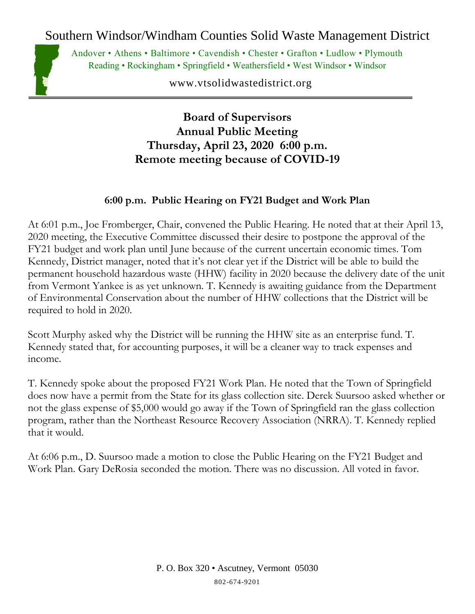Southern Windsor/Windham Counties Solid Waste Management District



Andover • Athens • Baltimore • Cavendish • Chester • Grafton • Ludlow • Plymouth Reading • Rockingham • Springfield • Weathersfield • West Windsor • Windsor

www.vtsolidwastedistrict.org

**Board of Supervisors Annual Public Meeting Thursday, April 23, 2020 6:00 p.m. Remote meeting because of COVID-19**

## **6:00 p.m. Public Hearing on FY21 Budget and Work Plan**

At 6:01 p.m., Joe Fromberger, Chair, convened the Public Hearing. He noted that at their April 13, 2020 meeting, the Executive Committee discussed their desire to postpone the approval of the FY21 budget and work plan until June because of the current uncertain economic times. Tom Kennedy, District manager, noted that it's not clear yet if the District will be able to build the permanent household hazardous waste (HHW) facility in 2020 because the delivery date of the unit from Vermont Yankee is as yet unknown. T. Kennedy is awaiting guidance from the Department of Environmental Conservation about the number of HHW collections that the District will be required to hold in 2020.

Scott Murphy asked why the District will be running the HHW site as an enterprise fund. T. Kennedy stated that, for accounting purposes, it will be a cleaner way to track expenses and income.

T. Kennedy spoke about the proposed FY21 Work Plan. He noted that the Town of Springfield does now have a permit from the State for its glass collection site. Derek Suursoo asked whether or not the glass expense of \$5,000 would go away if the Town of Springfield ran the glass collection program, rather than the Northeast Resource Recovery Association (NRRA). T. Kennedy replied that it would.

At 6:06 p.m., D. Suursoo made a motion to close the Public Hearing on the FY21 Budget and Work Plan. Gary DeRosia seconded the motion. There was no discussion. All voted in favor.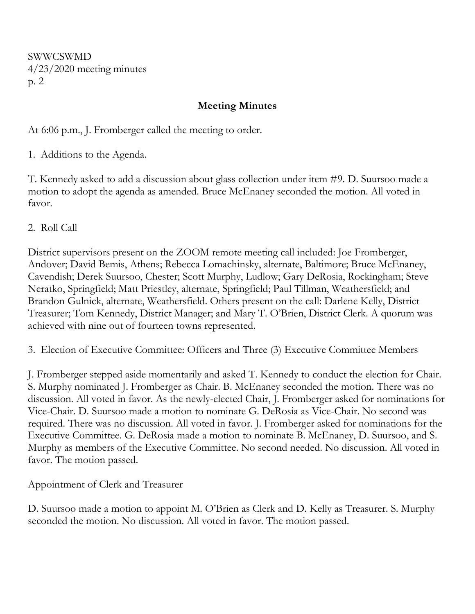SWWCSWMD 4/23/2020 meeting minutes p. 2

## **Meeting Minutes**

At 6:06 p.m., J. Fromberger called the meeting to order.

1. Additions to the Agenda.

T. Kennedy asked to add a discussion about glass collection under item #9. D. Suursoo made a motion to adopt the agenda as amended. Bruce McEnaney seconded the motion. All voted in favor.

2. Roll Call

District supervisors present on the ZOOM remote meeting call included: Joe Fromberger, Andover; David Bemis, Athens; Rebecca Lomachinsky, alternate, Baltimore; Bruce McEnaney, Cavendish; Derek Suursoo, Chester; Scott Murphy, Ludlow; Gary DeRosia, Rockingham; Steve Neratko, Springfield; Matt Priestley, alternate, Springfield; Paul Tillman, Weathersfield; and Brandon Gulnick, alternate, Weathersfield. Others present on the call: Darlene Kelly, District Treasurer; Tom Kennedy, District Manager; and Mary T. O'Brien, District Clerk. A quorum was achieved with nine out of fourteen towns represented.

3. Election of Executive Committee: Officers and Three (3) Executive Committee Members

J. Fromberger stepped aside momentarily and asked T. Kennedy to conduct the election for Chair. S. Murphy nominated J. Fromberger as Chair. B. McEnaney seconded the motion. There was no discussion. All voted in favor. As the newly-elected Chair, J. Fromberger asked for nominations for Vice-Chair. D. Suursoo made a motion to nominate G. DeRosia as Vice-Chair. No second was required. There was no discussion. All voted in favor. J. Fromberger asked for nominations for the Executive Committee. G. DeRosia made a motion to nominate B. McEnaney, D. Suursoo, and S. Murphy as members of the Executive Committee. No second needed. No discussion. All voted in favor. The motion passed.

Appointment of Clerk and Treasurer

D. Suursoo made a motion to appoint M. O'Brien as Clerk and D. Kelly as Treasurer. S. Murphy seconded the motion. No discussion. All voted in favor. The motion passed.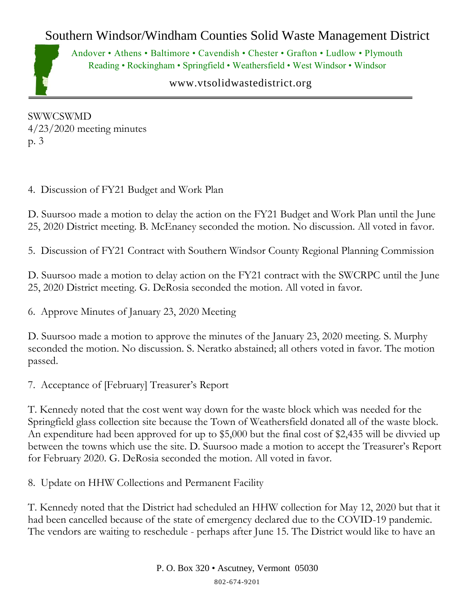## Southern Windsor/Windham Counties Solid Waste Management District



Andover • Athens • Baltimore • Cavendish • Chester • Grafton • Ludlow • Plymouth Reading • Rockingham • Springfield • Weathersfield • West Windsor • Windsor

www.vtsolidwastedistrict.org

SWWCSWMD 4/23/2020 meeting minutes p. 3

4. Discussion of FY21 Budget and Work Plan

D. Suursoo made a motion to delay the action on the FY21 Budget and Work Plan until the June 25, 2020 District meeting. B. McEnaney seconded the motion. No discussion. All voted in favor.

5. Discussion of FY21 Contract with Southern Windsor County Regional Planning Commission

D. Suursoo made a motion to delay action on the FY21 contract with the SWCRPC until the June 25, 2020 District meeting. G. DeRosia seconded the motion. All voted in favor.

6. Approve Minutes of January 23, 2020 Meeting

D. Suursoo made a motion to approve the minutes of the January 23, 2020 meeting. S. Murphy seconded the motion. No discussion. S. Neratko abstained; all others voted in favor. The motion passed.

7. Acceptance of [February] Treasurer's Report

T. Kennedy noted that the cost went way down for the waste block which was needed for the Springfield glass collection site because the Town of Weathersfield donated all of the waste block. An expenditure had been approved for up to \$5,000 but the final cost of \$2,435 will be divvied up between the towns which use the site. D. Suursoo made a motion to accept the Treasurer's Report for February 2020. G. DeRosia seconded the motion. All voted in favor.

8. Update on HHW Collections and Permanent Facility

T. Kennedy noted that the District had scheduled an HHW collection for May 12, 2020 but that it had been cancelled because of the state of emergency declared due to the COVID-19 pandemic. The vendors are waiting to reschedule - perhaps after June 15. The District would like to have an